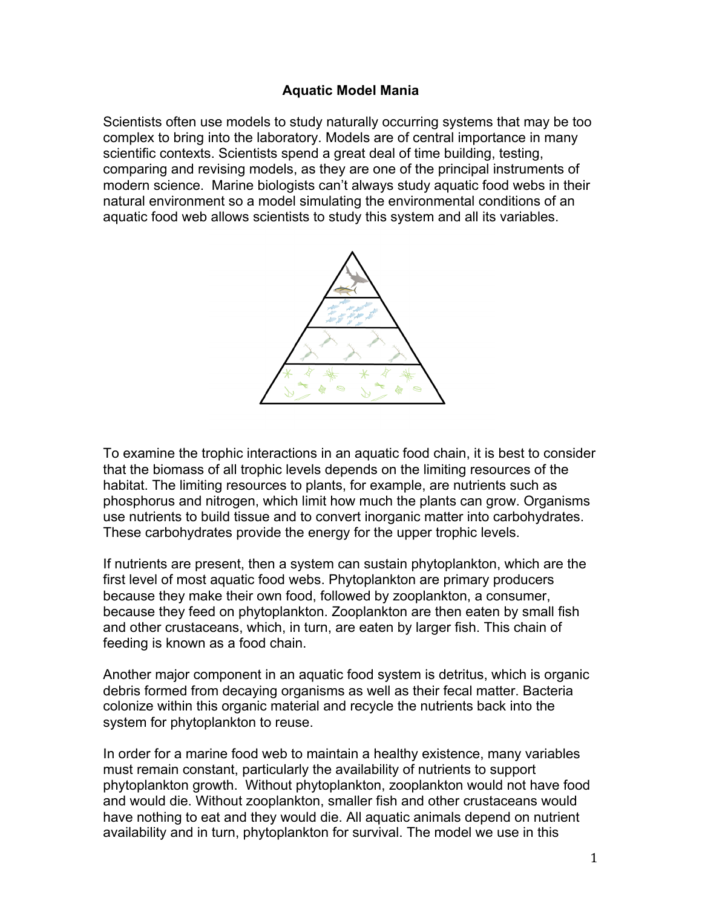## **Aquatic Model Mania**

Scientists often use models to study naturally occurring systems that may be too complex to bring into the laboratory. Models are of central importance in many scientific contexts. Scientists spend a great deal of time building, testing, comparing and revising models, as they are one of the principal instruments of modern science. Marine biologists can't always study aquatic food webs in their natural environment so a model simulating the environmental conditions of an aquatic food web allows scientists to study this system and all its variables.



To examine the trophic interactions in an aquatic food chain, it is best to consider that the biomass of all trophic levels depends on the limiting resources of the habitat. The limiting resources to plants, for example, are nutrients such as phosphorus and nitrogen, which limit how much the plants can grow. Organisms use nutrients to build tissue and to convert inorganic matter into carbohydrates. These carbohydrates provide the energy for the upper trophic levels.

If nutrients are present, then a system can sustain phytoplankton, which are the first level of most aquatic food webs. Phytoplankton are primary producers because they make their own food, followed by zooplankton, a consumer, because they feed on phytoplankton. Zooplankton are then eaten by small fish and other crustaceans, which, in turn, are eaten by larger fish. This chain of feeding is known as a food chain.

Another major component in an aquatic food system is detritus, which is organic debris formed from decaying organisms as well as their fecal matter. Bacteria colonize within this organic material and recycle the nutrients back into the system for phytoplankton to reuse.

In order for a marine food web to maintain a healthy existence, many variables must remain constant, particularly the availability of nutrients to support phytoplankton growth. Without phytoplankton, zooplankton would not have food and would die. Without zooplankton, smaller fish and other crustaceans would have nothing to eat and they would die. All aquatic animals depend on nutrient availability and in turn, phytoplankton for survival. The model we use in this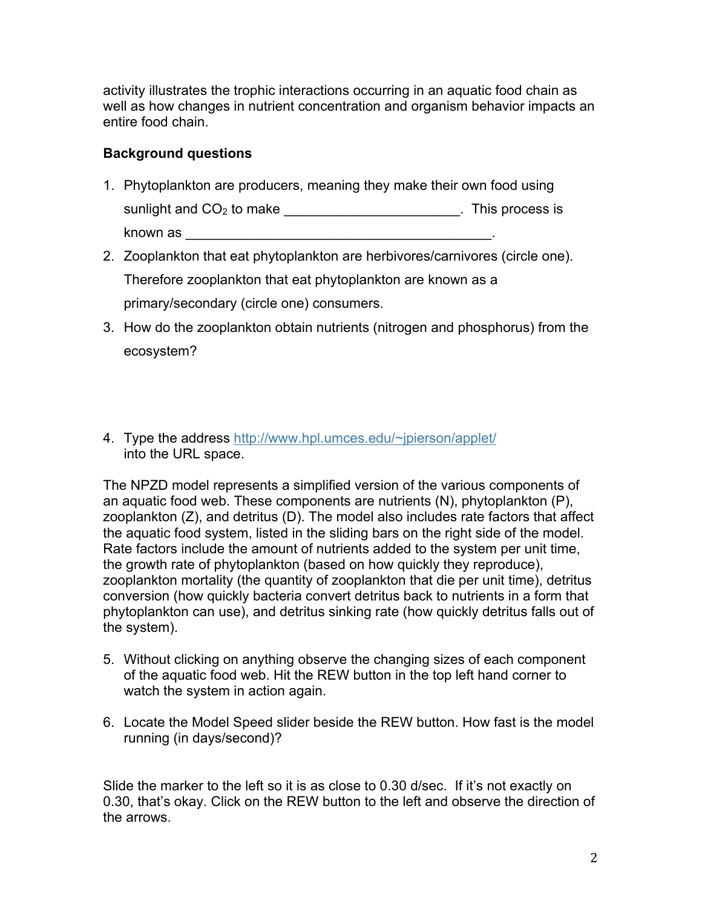activity illustrates the trophic interactions occurring in an aquatic food chain as well as how changes in nutrient concentration and organism behavior impacts an entire food chain.

## **Background questions**

- 1. Phytoplankton are producers, meaning they make their own food using sunlight and CO<sub>2</sub> to make \_\_\_\_\_\_\_\_\_\_\_\_\_\_\_\_\_\_\_\_\_\_\_\_\_. This process is known as \_\_\_\_\_\_\_\_\_\_\_\_\_\_\_\_\_\_\_\_\_\_\_\_\_\_\_\_\_\_\_\_\_\_\_\_\_\_\_\_.
- 2. Zooplankton that eat phytoplankton are herbivores/carnivores (circle one). Therefore zooplankton that eat phytoplankton are known as a primary/secondary (circle one) consumers.
- 3. How do the zooplankton obtain nutrients (nitrogen and phosphorus) from the ecosystem?
- 4. Type the address http://www.hpl.umces.edu/~jpierson/applet/ into the URL space.

The NPZD model represents a simplified version of the various components of an aquatic food web. These components are nutrients (N), phytoplankton (P), zooplankton (Z), and detritus (D). The model also includes rate factors that affect the aquatic food system, listed in the sliding bars on the right side of the model. Rate factors include the amount of nutrients added to the system per unit time, the growth rate of phytoplankton (based on how quickly they reproduce), zooplankton mortality (the quantity of zooplankton that die per unit time), detritus conversion (how quickly bacteria convert detritus back to nutrients in a form that phytoplankton can use), and detritus sinking rate (how quickly detritus falls out of the system).

- 5. Without clicking on anything observe the changing sizes of each component of the aquatic food web. Hit the REW button in the top left hand corner to watch the system in action again.
- 6. Locate the Model Speed slider beside the REW button. How fast is the model running (in days/second)?

Slide the marker to the left so it is as close to 0.30 d/sec. If it's not exactly on 0.30, that's okay. Click on the REW button to the left and observe the direction of the arrows.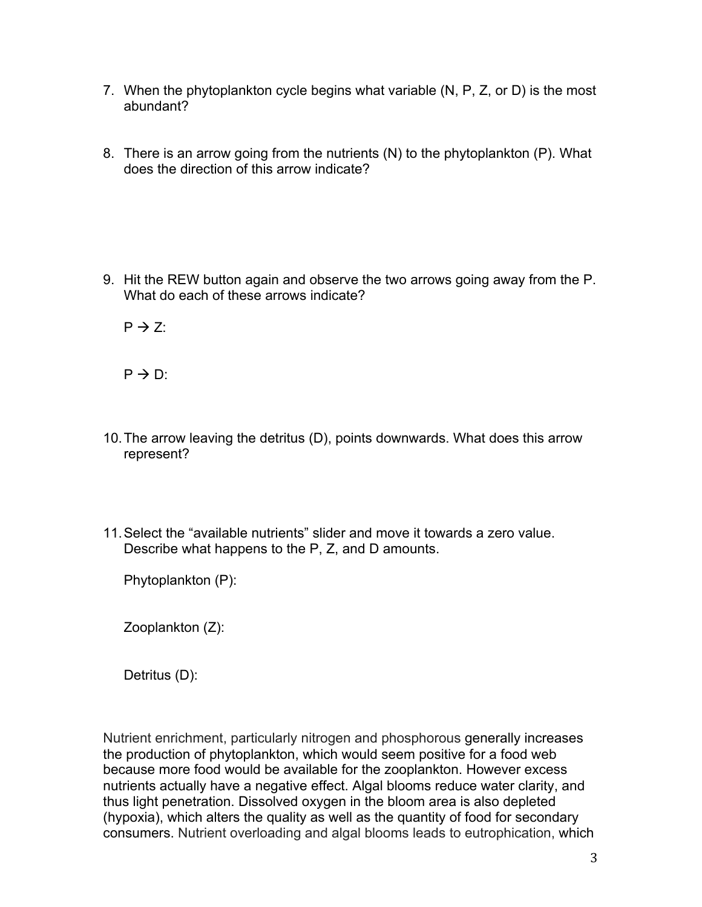- 7. When the phytoplankton cycle begins what variable (N, P, Z, or D) is the most abundant?
- 8. There is an arrow going from the nutrients (N) to the phytoplankton (P). What does the direction of this arrow indicate?

9. Hit the REW button again and observe the two arrows going away from the P. What do each of these arrows indicate?

 $P \rightarrow Z$ :

 $P \rightarrow D$ :

- 10.The arrow leaving the detritus (D), points downwards. What does this arrow represent?
- 11.Select the "available nutrients" slider and move it towards a zero value. Describe what happens to the P, Z, and D amounts.

Phytoplankton (P):

Zooplankton (Z):

Detritus (D):

Nutrient enrichment, particularly nitrogen and phosphorous generally increases the production of phytoplankton, which would seem positive for a food web because more food would be available for the zooplankton. However excess nutrients actually have a negative effect. Algal blooms reduce water clarity, and thus light penetration. Dissolved oxygen in the bloom area is also depleted (hypoxia), which alters the quality as well as the quantity of food for secondary consumers. Nutrient overloading and algal blooms leads to eutrophication, which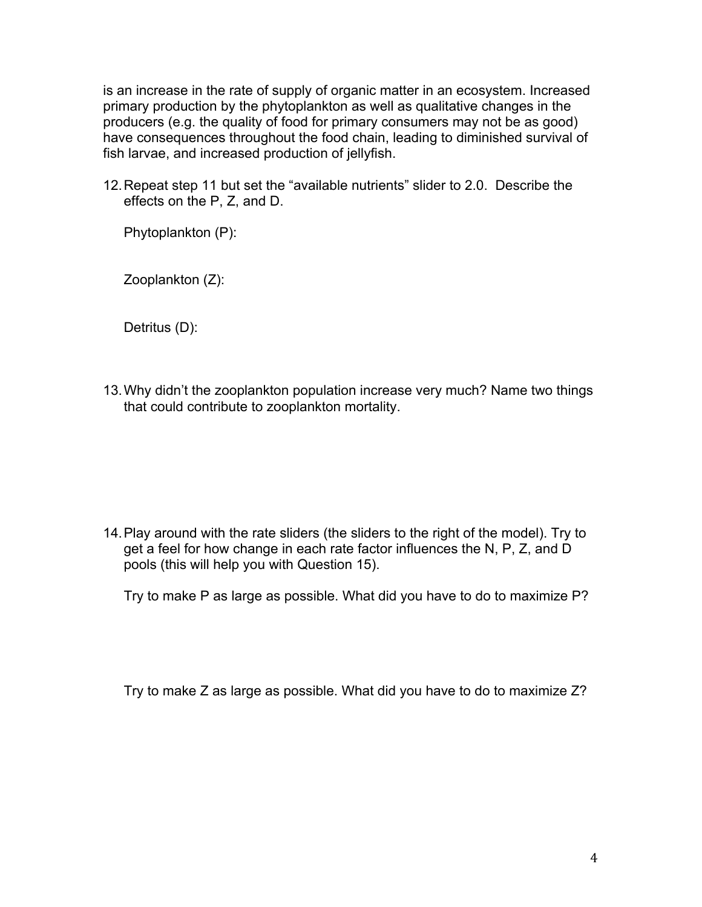is an increase in the rate of supply of organic matter in an ecosystem. Increased primary production by the phytoplankton as well as qualitative changes in the producers (e.g. the quality of food for primary consumers may not be as good) have consequences throughout the food chain, leading to diminished survival of fish larvae, and increased production of jellyfish.

12.Repeat step 11 but set the "available nutrients" slider to 2.0. Describe the effects on the P, Z, and D.

Phytoplankton (P):

Zooplankton (Z):

Detritus (D):

13.Why didn't the zooplankton population increase very much? Name two things that could contribute to zooplankton mortality.

14.Play around with the rate sliders (the sliders to the right of the model). Try to get a feel for how change in each rate factor influences the N, P, Z, and D pools (this will help you with Question 15).

Try to make P as large as possible. What did you have to do to maximize P?

Try to make Z as large as possible. What did you have to do to maximize Z?